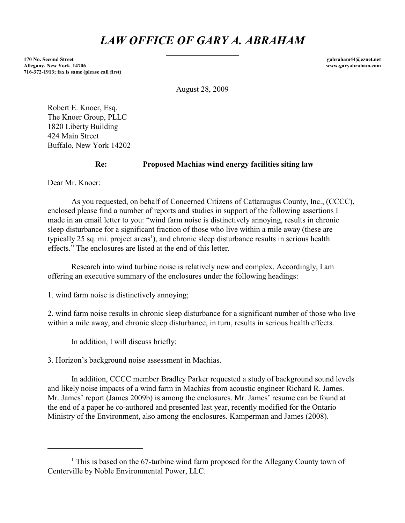# *LAW OFFICE OF GARY A. ABRAHAM*

l

**170 No. Second Street gabraham44@eznet.net Allegany, New York 14706 www.garyabraham.com 716-372-1913; fax is same (please call first)**

August 28, 2009

Robert E. Knoer, Esq. The Knoer Group, PLLC 1820 Liberty Building 424 Main Street Buffalo, New York 14202

## **Re: Proposed Machias wind energy facilities siting law**

Dear Mr. Knoer:

As you requested, on behalf of Concerned Citizens of Cattaraugus County, Inc., (CCCC), enclosed please find a number of reports and studies in support of the following assertions I made in an email letter to you: "wind farm noise is distinctively annoying, results in chronic sleep disturbance for a significant fraction of those who live within a mile away (these are typically 25 sq. mi. project areas<sup>1</sup>), and chronic sleep disturbance results in serious health effects." The enclosures are listed at the end of this letter.

Research into wind turbine noise is relatively new and complex. Accordingly, I am offering an executive summary of the enclosures under the following headings:

1. wind farm noise is distinctively annoying;

2. wind farm noise results in chronic sleep disturbance for a significant number of those who live within a mile away, and chronic sleep disturbance, in turn, results in serious health effects.

In addition, I will discuss briefly:

3. Horizon's background noise assessment in Machias.

In addition, CCCC member Bradley Parker requested a study of background sound levels and likely noise impacts of a wind farm in Machias from acoustic engineer Richard R. James. Mr. James' report (James 2009b) is among the enclosures. Mr. James' resume can be found at the end of a paper he co-authored and presented last year, recently modified for the Ontario Ministry of the Environment, also among the enclosures. Kamperman and James (2008).

 $1$  This is based on the 67-turbine wind farm proposed for the Allegany County town of Centerville by Noble Environmental Power, LLC.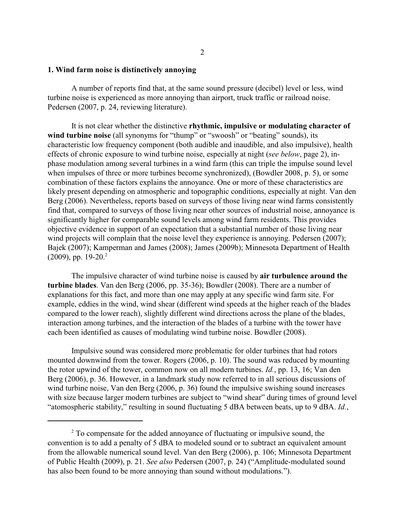#### **1. Wind farm noise is distinctively annoying**

A number of reports find that, at the same sound pressure (decibel) level or less, wind turbine noise is experienced as more annoying than airport, truck traffic or railroad noise. Pedersen (2007, p. 24, reviewing literature).

It is not clear whether the distinctive **rhythmic, impulsive or modulating character of** wind turbine noise (all synonyms for "thump" or "swoosh" or "beating" sounds), its characteristic low frequency component (both audible and inaudible, and also impulsive), health effects of chronic exposure to wind turbine noise, especially at night (*see below*, page 2), inphase modulation among several turbines in a wind farm (this can triple the impulse sound level when impulses of three or more turbines become synchronized), (Bowdler 2008, p. 5), or some combination of these factors explains the annoyance. One or more of these characteristics are likely present depending on atmospheric and topographic conditions, especially at night. Van den Berg (2006). Nevertheless, reports based on surveys of those living near wind farms consistently find that, compared to surveys of those living near other sources of industrial noise, annoyance is significantly higher for comparable sound levels among wind farm residents. This provides objective evidence in support of an expectation that a substantial number of those living near wind projects will complain that the noise level they experience is annoying. Pedersen (2007); Bajek (2007); Kamperman and James (2008); James (2009b); Minnesota Department of Health  $(2009)$ , pp. 19-20.<sup>2</sup>

The impulsive character of wind turbine noise is caused by **air turbulence around the turbine blades**. Van den Berg (2006, pp. 35-36); Bowdler (2008). There are a number of explanations for this fact, and more than one may apply at any specific wind farm site. For example, eddies in the wind, wind shear (different wind speeds at the higher reach of the blades compared to the lower reach), slightly different wind directions across the plane of the blades, interaction among turbines, and the interaction of the blades of a turbine with the tower have each been identified as causes of modulating wind turbine noise. Bowdler (2008).

Impulsive sound was considered more problematic for older turbines that had rotors mounted downwind from the tower. Rogers (2006, p. 10). The sound was reduced by mounting the rotor upwind of the tower, common now on all modern turbines. *Id.*, pp. 13, 16; Van den Berg (2006), p. 36. However, in a landmark study now referred to in all serious discussions of wind turbine noise, Van den Berg (2006, p. 36) found the impulsive swishing sound increases with size because larger modern turbines are subject to "wind shear" during times of ground level "atomospheric stability," resulting in sound fluctuating 5 dBA between beats, up to 9 dBA. *Id.*,

 $2^{\circ}$  To compensate for the added annoyance of fluctuating or impulsive sound, the convention is to add a penalty of 5 dBA to modeled sound or to subtract an equivalent amount from the allowable numerical sound level. Van den Berg (2006), p. 106; Minnesota Department of Public Health (2009), p. 21. *See also* Pedersen (2007, p. 24) ("Amplitude-modulated sound has also been found to be more annoying than sound without modulations.").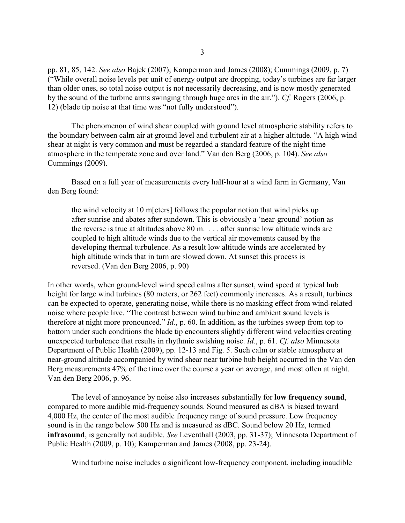pp. 81, 85, 142. *See also* Bajek (2007); Kamperman and James (2008); Cummings (2009, p. 7) ("While overall noise levels per unit of energy output are dropping, today's turbines are far larger than older ones, so total noise output is not necessarily decreasing, and is now mostly generated by the sound of the turbine arms swinging through huge arcs in the air."). *Cf.* Rogers (2006, p. 12) (blade tip noise at that time was "not fully understood").

The phenomenon of wind shear coupled with ground level atmospheric stability refers to the boundary between calm air at ground level and turbulent air at a higher altitude. "A high wind shear at night is very common and must be regarded a standard feature of the night time atmosphere in the temperate zone and over land." Van den Berg (2006, p. 104). *See also* Cummings (2009).

Based on a full year of measurements every half-hour at a wind farm in Germany, Van den Berg found:

the wind velocity at 10 m[eters] follows the popular notion that wind picks up after sunrise and abates after sundown. This is obviously a 'near-ground' notion as the reverse is true at altitudes above 80 m. . . . after sunrise low altitude winds are coupled to high altitude winds due to the vertical air movements caused by the developing thermal turbulence. As a result low altitude winds are accelerated by high altitude winds that in turn are slowed down. At sunset this process is reversed. (Van den Berg 2006, p. 90)

In other words, when ground-level wind speed calms after sunset, wind speed at typical hub height for large wind turbines (80 meters, or 262 feet) commonly increases. As a result, turbines can be expected to operate, generating noise, while there is no masking effect from wind-related noise where people live. "The contrast between wind turbine and ambient sound levels is therefore at night more pronounced." *Id.*, p. 60. In addition, as the turbines sweep from top to bottom under such conditions the blade tip encounters slightly different wind velocities creating unexpected turbulence that results in rhythmic swishing noise. *Id.*, p. 61. *Cf. also* Minnesota Department of Public Health (2009), pp. 12-13 and Fig. 5. Such calm or stable atmosphere at near-ground altitude accompanied by wind shear near turbine hub height occurred in the Van den Berg measurements 47% of the time over the course a year on average, and most often at night. Van den Berg 2006, p. 96.

The level of annoyance by noise also increases substantially for **low frequency sound**, compared to more audible mid-frequency sounds. Sound measured as dBA is biased toward 4,000 Hz, the center of the most audible frequency range of sound pressure. Low frequency sound is in the range below 500 Hz and is measured as dBC. Sound below 20 Hz, termed **infrasound**, is generally not audible. *See* Leventhall (2003, pp. 31-37); Minnesota Department of Public Health (2009, p. 10); Kamperman and James (2008, pp. 23-24).

Wind turbine noise includes a significant low-frequency component, including inaudible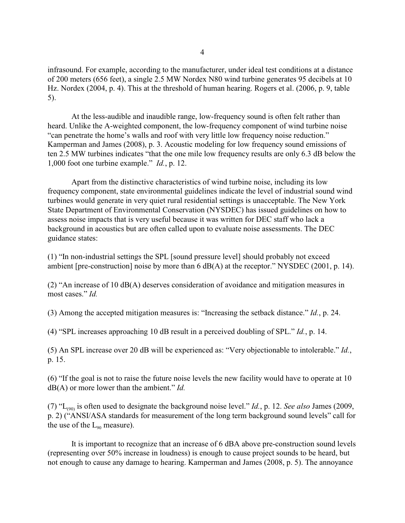infrasound. For example, according to the manufacturer, under ideal test conditions at a distance of 200 meters (656 feet), a single 2.5 MW Nordex N80 wind turbine generates 95 decibels at 10 Hz. Nordex (2004, p. 4). This at the threshold of human hearing. Rogers et al. (2006, p. 9, table 5).

At the less-audible and inaudible range, low-frequency sound is often felt rather than heard. Unlike the A-weighted component, the low-frequency component of wind turbine noise "can penetrate the home's walls and roof with very little low frequency noise reduction." Kamperman and James (2008), p. 3. Acoustic modeling for low frequency sound emissions of ten 2.5 MW turbines indicates "that the one mile low frequency results are only 6.3 dB below the 1,000 foot one turbine example." *Id.*, p. 12.

Apart from the distinctive characteristics of wind turbine noise, including its low frequency component, state environmental guidelines indicate the level of industrial sound wind turbines would generate in very quiet rural residential settings is unacceptable. The New York State Department of Environmental Conservation (NYSDEC) has issued guidelines on how to assess noise impacts that is very useful because it was written for DEC staff who lack a background in acoustics but are often called upon to evaluate noise assessments. The DEC guidance states:

(1) "In non-industrial settings the SPL [sound pressure level] should probably not exceed ambient [pre-construction] noise by more than 6 dB(A) at the receptor." NYSDEC (2001, p. 14).

(2) "An increase of 10 dB(A) deserves consideration of avoidance and mitigation measures in most cases." *Id.*

(3) Among the accepted mitigation measures is: "Increasing the setback distance." *Id.*, p. 24.

(4) "SPL increases approaching 10 dB result in a perceived doubling of SPL." *Id.*, p. 14.

(5) An SPL increase over 20 dB will be experienced as: "Very objectionable to intolerable." *Id.*, p. 15.

(6) "If the goal is not to raise the future noise levels the new facility would have to operate at 10 dB(A) or more lower than the ambient." *Id.*

(7) "L<sub>(90)</sub> is often used to designate the background noise level." *Id.*, p. 12. *See also* James (2009, p. 2) ("ANSI/ASA standards for measurement of the long term background sound levels" call for the use of the  $L_{\alpha}$  measure).

It is important to recognize that an increase of 6 dBA above pre-construction sound levels (representing over 50% increase in loudness) is enough to cause project sounds to be heard, but not enough to cause any damage to hearing. Kamperman and James (2008, p. 5). The annoyance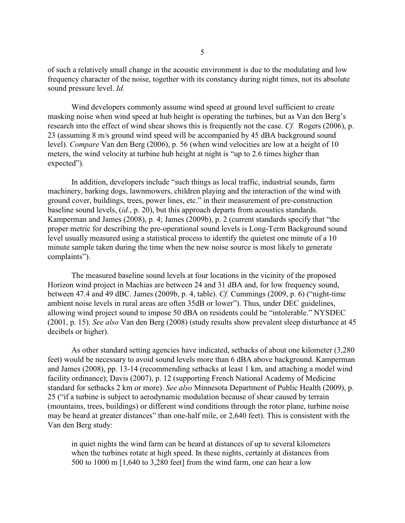of such a relatively small change in the acoustic environment is due to the modulating and low frequency character of the noise, together with its constancy during night times, not its absolute sound pressure level. *Id.*

Wind developers commonly assume wind speed at ground level sufficient to create masking noise when wind speed at hub height is operating the turbines, but as Van den Berg's research into the effect of wind shear shows this is frequently not the case. *Cf.* Rogers (2006), p. 23 (assuming 8 m/s ground wind speed will be accompanied by 45 dBA background sound level). *Compare* Van den Berg (2006), p. 56 (when wind velocities are low at a height of 10 meters, the wind velocity at turbine hub height at night is "up to 2.6 times higher than expected").

In addition, developers include "such things as local traffic, industrial sounds, farm machinery, barking dogs, lawnmowers, children playing and the interaction of the wind with ground cover, buildings, trees, power lines, etc." in their measurement of pre-construction baseline sound levels, (*id.*, p. 20), but this approach departs from acoustics standards. Kamperman and James (2008), p. 4; James (2009b), p. 2 (current standards specify that "the proper metric for describing the pre-operational sound levels is Long-Term Background sound level usually measured using a statistical process to identify the quietest one minute of a 10 minute sample taken during the time when the new noise source is most likely to generate complaints").

The measured baseline sound levels at four locations in the vicinity of the proposed Horizon wind project in Machias are between 24 and 31 dBA and, for low frequency sound, between 47.4 and 49 dBC. James (2009b, p. 4, table). *Cf.* Cummings (2009, p. 6) ("night-time ambient noise levels in rural areas are often 35dB or lower"). Thus, under DEC guidelines, allowing wind project sound to impose 50 dBA on residents could be "intolerable." NYSDEC (2001, p. 15). *See also* Van den Berg (2008) (study results show prevalent sleep disturbance at 45 decibels or higher).

As other standard setting agencies have indicated, setbacks of about one kilometer (3,280 feet) would be necessary to avoid sound levels more than 6 dBA above background. Kamperman and James (2008), pp. 13-14 (recommending setbacks at least 1 km, and attaching a model wind facility ordinance); Davis (2007), p. 12 (supporting French National Academy of Medicine standard for setbacks 2 km or more). *See also* Minnesota Department of Public Health (2009), p. 25 ("if a turbine is subject to aerodynamic modulation because of shear caused by terrain (mountains, trees, buildings) or different wind conditions through the rotor plane, turbine noise may be heard at greater distances" than one-half mile, or 2,640 feet). This is consistent with the Van den Berg study:

in quiet nights the wind farm can be heard at distances of up to several kilometers when the turbines rotate at high speed. In these nights, certainly at distances from 500 to 1000 m [1,640 to 3,280 feet] from the wind farm, one can hear a low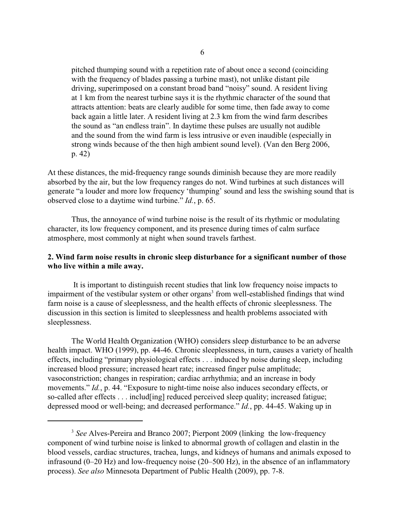pitched thumping sound with a repetition rate of about once a second (coinciding with the frequency of blades passing a turbine mast), not unlike distant pile driving, superimposed on a constant broad band "noisy" sound. A resident living at 1 km from the nearest turbine says it is the rhythmic character of the sound that attracts attention: beats are clearly audible for some time, then fade away to come back again a little later. A resident living at 2.3 km from the wind farm describes the sound as "an endless train". In daytime these pulses are usually not audible and the sound from the wind farm is less intrusive or even inaudible (especially in strong winds because of the then high ambient sound level). (Van den Berg 2006, p. 42)

At these distances, the mid-frequency range sounds diminish because they are more readily absorbed by the air, but the low frequency ranges do not. Wind turbines at such distances will generate "a louder and more low frequency 'thumping' sound and less the swishing sound that is observed close to a daytime wind turbine." *Id.*, p. 65.

Thus, the annoyance of wind turbine noise is the result of its rhythmic or modulating character, its low frequency component, and its presence during times of calm surface atmosphere, most commonly at night when sound travels farthest.

## **2. Wind farm noise results in chronic sleep disturbance for a significant number of those who live within a mile away.**

 It is important to distinguish recent studies that link low frequency noise impacts to impairment of the vestibular system or other organs<sup>3</sup> from well-established findings that wind farm noise is a cause of sleeplessness, and the health effects of chronic sleeplessness. The discussion in this section is limited to sleeplessness and health problems associated with sleeplessness.

The World Health Organization (WHO) considers sleep disturbance to be an adverse health impact. WHO (1999), pp. 44-46. Chronic sleeplessness, in turn, causes a variety of health effects, including "primary physiological effects . . . induced by noise during sleep, including increased blood pressure; increased heart rate; increased finger pulse amplitude; vasoconstriction; changes in respiration; cardiac arrhythmia; and an increase in body movements." *Id.*, p. 44. "Exposure to night-time noise also induces secondary effects, or so-called after effects . . . includ[ing] reduced perceived sleep quality; increased fatigue; depressed mood or well-being; and decreased performance." *Id.*, pp. 44-45. Waking up in

<sup>&</sup>lt;sup>3</sup> See Alves-Pereira and Branco 2007; Pierpont 2009 (linking the low-frequency component of wind turbine noise is linked to abnormal growth of collagen and elastin in the blood vessels, cardiac structures, trachea, lungs, and kidneys of humans and animals exposed to infrasound (0–20 Hz) and low-frequency noise (20–500 Hz), in the absence of an inflammatory process). *See also* Minnesota Department of Public Health (2009), pp. 7-8.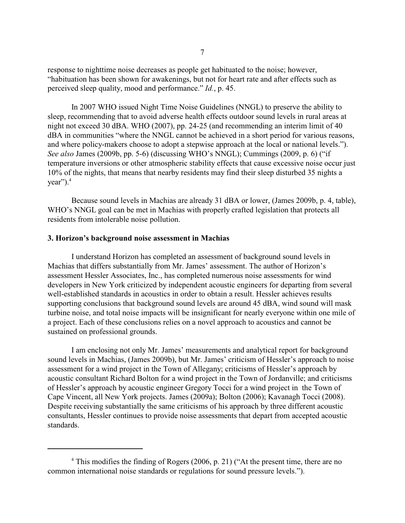response to nighttime noise decreases as people get habituated to the noise; however, "habituation has been shown for awakenings, but not for heart rate and after effects such as perceived sleep quality, mood and performance." *Id.*, p. 45.

In 2007 WHO issued Night Time Noise Guidelines (NNGL) to preserve the ability to sleep, recommending that to avoid adverse health effects outdoor sound levels in rural areas at night not exceed 30 dBA. WHO (2007), pp. 24-25 (and recommending an interim limit of 40 dBA in communities "where the NNGL cannot be achieved in a short period for various reasons, and where policy-makers choose to adopt a stepwise approach at the local or national levels."). *See also* James (2009b, pp. 5-6) (discussing WHO's NNGL); Cummings (2009, p. 6) ("if temperature inversions or other atmospheric stability effects that cause excessive noise occur just 10% of the nights, that means that nearby residents may find their sleep disturbed 35 nights a  $year$ "). $<sup>4</sup>$ </sup>

Because sound levels in Machias are already 31 dBA or lower, (James 2009b, p. 4, table), WHO's NNGL goal can be met in Machias with properly crafted legislation that protects all residents from intolerable noise pollution.

#### **3. Horizon's background noise assessment in Machias**

I understand Horizon has completed an assessment of background sound levels in Machias that differs substantially from Mr. James' assessment. The author of Horizon's assessment Hessler Associates, Inc., has completed numerous noise assessments for wind developers in New York criticized by independent acoustic engineers for departing from several well-established standards in acoustics in order to obtain a result. Hessler achieves results supporting conclusions that background sound levels are around 45 dBA, wind sound will mask turbine noise, and total noise impacts will be insignificant for nearly everyone within one mile of a project. Each of these conclusions relies on a novel approach to acoustics and cannot be sustained on professional grounds.

I am enclosing not only Mr. James' measurements and analytical report for background sound levels in Machias, (James 2009b), but Mr. James' criticism of Hessler's approach to noise assessment for a wind project in the Town of Allegany; criticisms of Hessler's approach by acoustic consultant Richard Bolton for a wind project in the Town of Jordanville; and criticisms of Hessler's approach by acoustic engineer Gregory Tocci for a wind project in the Town of Cape Vincent, all New York projects. James (2009a); Bolton (2006); Kavanagh Tocci (2008). Despite receiving substantially the same criticisms of his approach by three different acoustic consultants, Hessler continues to provide noise assessments that depart from accepted acoustic standards.

 $4$  This modifies the finding of Rogers (2006, p. 21) ("At the present time, there are no common international noise standards or regulations for sound pressure levels.").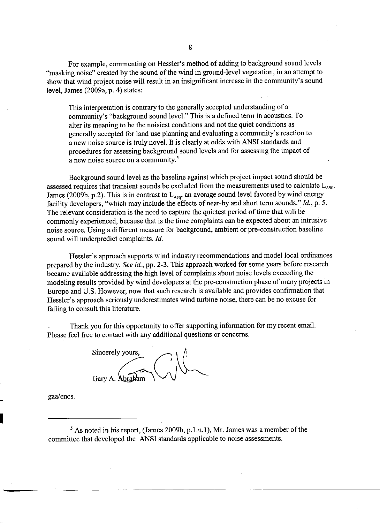For example, commenting on Hessler's method of adding to background sound levels "masking noise" created by the sound of the wind in ground-level vegetation, in an attempt to show that wind project noise will result in an insignificant increase in the community's sound level, James  $(2009a, p. 4)$  states:

This interpretation is contrary to the generally accepted understanding of a community's "background sound level." This is a defined term in acoustics. To alter its meaning to be the noisiest conditions and not the quiet conditions as generally accepted for land use planning and evaluating a community's reaction to a new noise source is truly novel. It is clearly at odds with ANSI standards and procedures for assessing background sound levels and for assessing the impact of a new noise source on a community.<sup>5</sup>

Background sound level as the baseline against which project impact sound should be assessed requires that transient sounds be excluded from the measurements used to calculate  $L_{A90}$ . James (2009b, p.2). This is in contrast to  $L_{\text{Aeo}}$  an average sound level favored by wind energy facility developers, "which may include the effects of near-by and short term sounds." Id., p. 5. The relevant consideration is the need to capture the quietest period of time that will be commonly experienced, because that is the time complaints can be expected about an intrusive noise source. Using a different measure for background, ambient or pre-construction baseline sound will underpredict complaints. Id.

Hessler's approach supports wind industry recommendations and model local ordinances prepared by the industry. See id., pp. 2-3. This approach worked for some years before research became available addressing the high level of complaints about noise levels exceeding the modeling results provided by wind developers at the pre-construction phase of many projects in Europe and U.S. However, now that such research is available and provides confirmation that Hessler's approach seriously underestimates wind turbine noise, there can be no excuse for failing to consult this literature.

Thank you for this opportunity to offer supporting information for my recent email. Please feel free to contact with any additional questions or concerns.

Sincerely yours.

gaa/encs.

 $5$  As noted in his report, (James 2009b, p.1.n.1), Mr. James was a member of the committee that developed the ANSI standards applicable to noise assessments.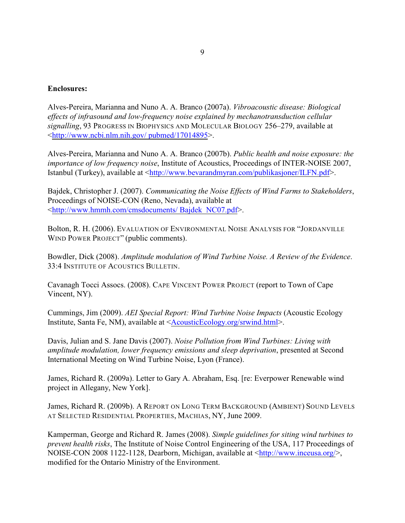### **Enclosures:**

Alves-Pereira, Marianna and Nuno A. A. Branco (2007a). *Vibroacoustic disease: Biological effects of infrasound and low-frequency noise explained by mechanotransduction cellular signalling*, 93 PROGRESS IN BIOPHYSICS AND MOLECULAR BIOLOGY 256–279, available at [<http://www.ncbi.nlm.nih.gov/ pubmed/17014895](http://www.ncbi.nlm.nih.gov/pubmed/17014895)>.

Alves-Pereira, Marianna and Nuno A. A. Branco (2007b). *Public health and noise exposure: the importance of low frequency noise*, Institute of Acoustics, Proceedings of INTER-NOISE 2007, Istanbul (Turkey), available at [<http://www.bevarandmyran.com/publikasjoner/ILFN.pdf](http://www.bevarandmyran.com/publikasjoner/ILFN.pdf)>.

Bajdek, Christopher J. (2007). *Communicating the Noise Effects of Wind Farms to Stakeholders*, Proceedings of NOISE-CON (Reno, Nevada), available at [<http://www.hmmh.com/cmsdocuments/ Bajdek\\_NC07.pdf](http://www.hmmh.com/cmsdocuments/Bajdek_NC07.pdf)>.

Bolton, R. H. (2006). EVALUATION OF ENVIRONMENTAL NOISE ANALYSIS FOR "JORDANVILLE WIND POWER PROJECT" (public comments).

Bowdler, Dick (2008). *Amplitude modulation of Wind Turbine Noise. A Review of the Evidence*. 33:4 INSTITUTE OF ACOUSTICS BULLETIN.

Cavanagh Tocci Assocs. (2008). CAPE VINCENT POWER PROJECT (report to Town of Cape Vincent, NY).

Cummings, Jim (2009). *AEI Special Report: Wind Turbine Noise Impacts* (Acoustic Ecology Institute, Santa Fe, NM), available at [<AcousticEcology.org/srwind.html](http://AcousticEcology.org/srwind.html)>.

Davis, Julian and S. Jane Davis (2007). *Noise Pollution from Wind Turbines: Living with amplitude modulation, lower frequency emissions and sleep deprivation*, presented at Second International Meeting on Wind Turbine Noise, Lyon (France).

James, Richard R. (2009a). Letter to Gary A. Abraham, Esq. [re: Everpower Renewable wind project in Allegany, New York].

James, Richard R. (2009b). A REPORT ON LONG TERM BACKGROUND (AMBIENT) SOUND LEVELS AT SELECTED RESIDENTIAL PROPERTIES, MACHIAS, NY, June 2009.

Kamperman, George and Richard R. James (2008). *Simple guidelines for siting wind turbines to prevent health risks*, The Institute of Noise Control Engineering of the USA, 117 Proceedings of NOISE-CON 2008 1122-1128, Dearborn, Michigan, available at [<http://www.inceusa.org/](http://www.inceusa.org/)>, modified for the Ontario Ministry of the Environment.